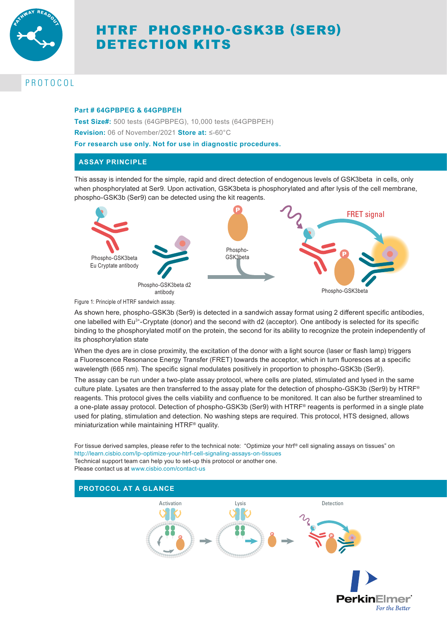

# HTRF PHOSPHO-GSK3B (SER9) DETECTION KITS

## PROTOCOL

#### **Part # 64GPBPEG & 64GPBPEH**

**Test Size#:** 500 tests (64GPBPEG), 10,000 tests (64GPBPEH)

**Revision:** 06 of November/2021 **Store at:** ≤-60°C

**For research use only. Not for use in diagnostic procedures.**

### **ASSAY PRINCIPLE**

This assay is intended for the simple, rapid and direct detection of endogenous levels of GSK3beta in cells, only when phosphorylated at Ser9. Upon activation, GSK3beta is phosphorylated and after lysis of the cell membrane, phospho-GSK3b (Ser9) can be detected using the kit reagents.



Figure 1: Principle of HTRF sandwich assay.

As shown here, phospho-GSK3b (Ser9) is detected in a sandwich assay format using 2 different specific antibodies, one labelled with Eu3+-Cryptate (donor) and the second with d2 (acceptor). One antibody is selected for its specific binding to the phosphorylated motif on the protein, the second for its ability to recognize the protein independently of its phosphorylation state

When the dyes are in close proximity, the excitation of the donor with a light source (laser or flash lamp) triggers a Fluorescence Resonance Energy Transfer (FRET) towards the acceptor, which in turn fluoresces at a specific wavelength (665 nm). The specific signal modulates positively in proportion to phospho-GSK3b (Ser9).

The assay can be run under a two-plate assay protocol, where cells are plated, stimulated and lysed in the same culture plate. Lysates are then transferred to the assay plate for the detection of phospho-GSK3b (Ser9) by HTRF® reagents. This protocol gives the cells viability and confluence to be monitored. It can also be further streamlined to a one-plate assay protocol. Detection of phospho-GSK3b (Ser9) with HTRF® reagents is performed in a single plate used for plating, stimulation and detection. No washing steps are required. This protocol, HTS designed, allows miniaturization while maintaining HTRF® quality.

For tissue derived samples, please refer to the technical note: "Optimize your htrf® cell signaling assays on tissues" on http://learn.cisbio.com/lp-optimize-your-htrf-cell-signaling-assays-on-tissues Technical support team can help you to set-up this protocol or another one. Please contact us at www.cisbio.com/contact-us

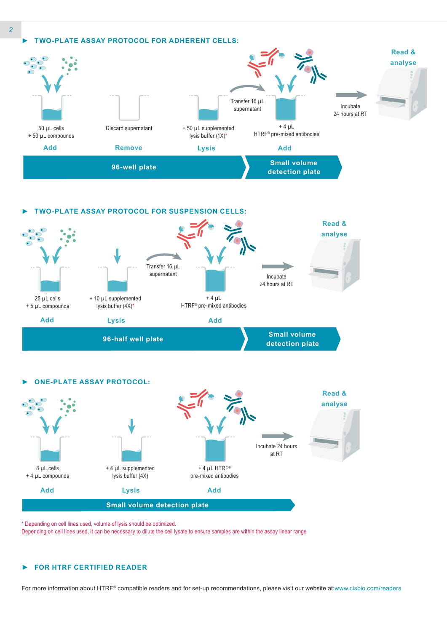





\* Depending on cell lines used, volume of lysis should be optimized.

Depending on cell lines used, it can be necessary to dilute the cell lysate to ensure samples are within the assay linear range

#### *►* **FOR HTRF CERTIFIED READER**

For more information about HTRF® compatible readers and for set-up recommendations, please visit our website at:www.cisbio.com/readers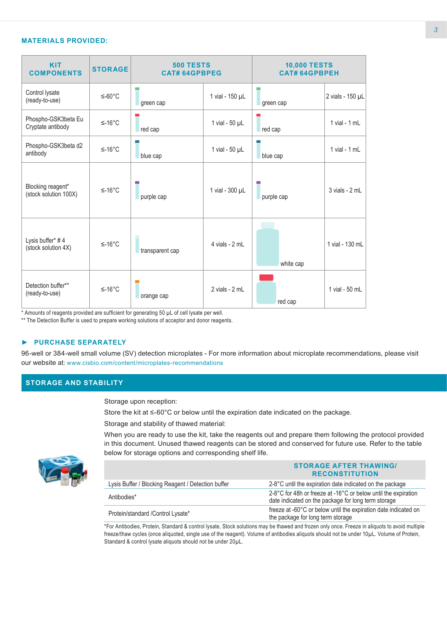#### **MATERIALS PROVIDED:**

| <b>KIT</b><br><b>COMPONENTS</b>            | <b>STORAGE</b> | <b>500 TESTS</b><br><b>CAT# 64GPBPEG</b> |                     | <b>10,000 TESTS</b><br><b>CAT#64GPBPEH</b> |                    |
|--------------------------------------------|----------------|------------------------------------------|---------------------|--------------------------------------------|--------------------|
| Control lysate<br>(ready-to-use)           | $≤-60°C$       | green cap                                | 1 vial - 150 µL     | green cap                                  | 2 vials - 150 µL   |
| Phospho-GSK3beta Eu<br>Cryptate antibody   | $≤-16°C$       | red cap                                  | 1 vial - $50 \mu L$ | red cap                                    | $1$ vial - $1$ mL  |
| Phospho-GSK3beta d2<br>antibody            | $≤-16°C$       | blue cap                                 | 1 vial - $50 \mu L$ | blue cap                                   | $1$ vial - $1$ mL  |
| Blocking reagent*<br>(stock solution 100X) | $≤-16°C$       | purple cap                               | 1 vial - 300 µL     | purple cap                                 | $3$ vials - $2$ mL |
| Lysis buffer* #4<br>(stock solution 4X)    | $≤-16°C$       | transparent cap                          | 4 vials - 2 mL      | white cap                                  | 1 vial - 130 mL    |
| Detection buffer**<br>(ready-to-use)       | $≤-16°C$       | orange cap                               | 2 vials - 2 mL      | red cap                                    | 1 vial - 50 mL     |

\* Amounts of reagents provided are sufficient for generating 50 µL of cell lysate per well.

\*\* The Detection Buffer is used to prepare working solutions of acceptor and donor reagents.

#### *►* **PURCHASE SEPARATELY**

96-well or 384-well small volume (SV) detection microplates - For more information about microplate recommendations, please visit our website at: www.cisbio.com/content/microplates-recommendations

### **STORAGE AND STABILITY**

Storage upon reception:

Store the kit at ≤-60°C or below until the expiration date indicated on the package.

Storage and stability of thawed material:

When you are ready to use the kit, take the reagents out and prepare them following the protocol provided in this document. Unused thawed reagents can be stored and conserved for future use. Refer to the table below for storage options and corresponding shelf life.



|                                                    | <b>STORAGE AFTER THAWING/</b><br><b>RECONSTITUTION</b>                                                                |
|----------------------------------------------------|-----------------------------------------------------------------------------------------------------------------------|
| Lysis Buffer / Blocking Reagent / Detection buffer | 2-8°C until the expiration date indicated on the package                                                              |
| Antibodies*                                        | 2-8°C for 48h or freeze at -16°C or below until the expiration<br>date indicated on the package for long term storage |
| Protein/standard / Control Lysate*                 | freeze at -60°C or below until the expiration date indicated on<br>the package for long term storage                  |

\*For Antibodies, Protein, Standard & control lysate, Stock solutions may be thawed and frozen only once. Freeze in aliquots to avoid multiple freeze/thaw cycles (once aliquoted, single use of the reagent). Volume of antibodies aliquots should not be under 10µL. Volume of Protein, Standard & control lysate aliquots should not be under 20µL.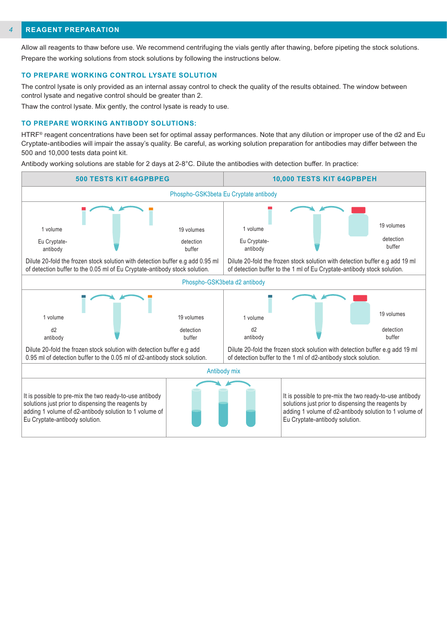#### **REAGENT PREPARATION** *4*

Allow all reagents to thaw before use. We recommend centrifuging the vials gently after thawing, before pipeting the stock solutions. Prepare the working solutions from stock solutions by following the instructions below.

#### **TO PREPARE WORKING CONTROL LYSATE SOLUTION**

The control lysate is only provided as an internal assay control to check the quality of the results obtained. The window between control lysate and negative control should be greater than 2.

Thaw the control lysate. Mix gently, the control lysate is ready to use.

#### **TO PREPARE WORKING ANTIBODY SOLUTIONS:**

HTRF® reagent concentrations have been set for optimal assay performances. Note that any dilution or improper use of the d2 and Eu Cryptate-antibodies will impair the assay's quality. Be careful, as working solution preparation for antibodies may differ between the 500 and 10,000 tests data point kit.

Antibody working solutions are stable for 2 days at 2-8°C. Dilute the antibodies with detection buffer. In practice:

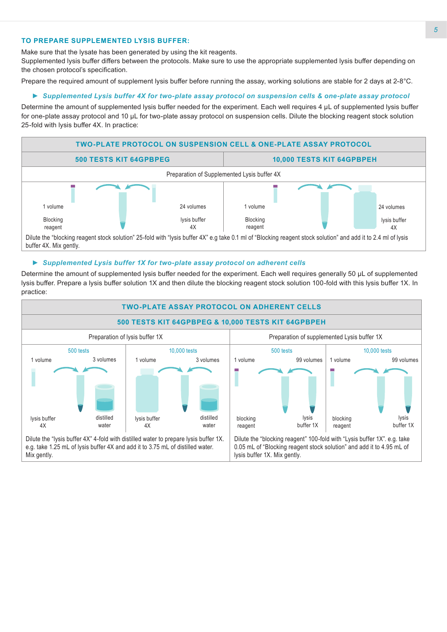#### **TO PREPARE SUPPLEMENTED LYSIS BUFFER:**

Make sure that the lysate has been generated by using the kit reagents.

Supplemented lysis buffer differs between the protocols. Make sure to use the appropriate supplemented lysis buffer depending on the chosen protocol's specification.

Prepare the required amount of supplement lysis buffer before running the assay, working solutions are stable for 2 days at 2-8°C.

#### *► Supplemented Lysis buffer 4X for two-plate assay protocol on suspension cells & one-plate assay protocol*

Determine the amount of supplemented lysis buffer needed for the experiment. Each well requires 4 μL of supplemented lysis buffer for one-plate assay protocol and 10 μL for two-plate assay protocol on suspension cells. Dilute the blocking reagent stock solution 25-fold with lysis buffer 4X. In practice:



#### *► Supplemented Lysis buffer 1X for two-plate assay protocol on adherent cells*

Determine the amount of supplemented lysis buffer needed for the experiment. Each well requires generally 50 µL of supplemented lysis buffer. Prepare a lysis buffer solution 1X and then dilute the blocking reagent stock solution 100-fold with this lysis buffer 1X. In practice:

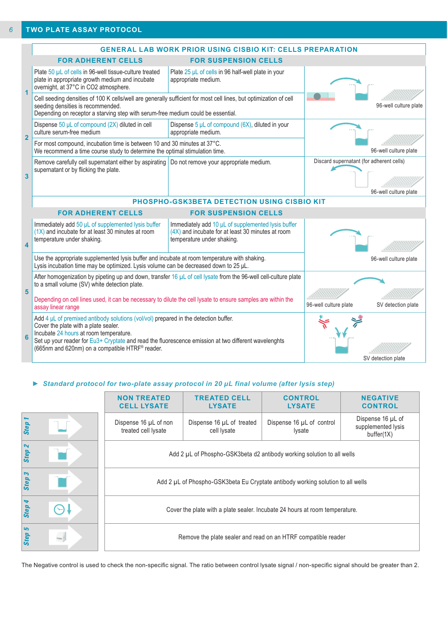|                                                          | <b>GENERAL LAB WORK PRIOR USING CISBIO KIT: CELLS PREPARATION</b>                                                                                                                                                                                                                                                                                 |                                                                                                                                       |                                          |                       |  |
|----------------------------------------------------------|---------------------------------------------------------------------------------------------------------------------------------------------------------------------------------------------------------------------------------------------------------------------------------------------------------------------------------------------------|---------------------------------------------------------------------------------------------------------------------------------------|------------------------------------------|-----------------------|--|
|                                                          | <b>FOR ADHERENT CELLS</b>                                                                                                                                                                                                                                                                                                                         | <b>FOR SUSPENSION CELLS</b>                                                                                                           |                                          |                       |  |
|                                                          | Plate 50 µL of cells in 96-well tissue-culture treated<br>plate in appropriate growth medium and incubate<br>overnight, at 37°C in CO2 atmosphere.                                                                                                                                                                                                | Plate 25 µL of cells in 96 half-well plate in your<br>appropriate medium.                                                             |                                          |                       |  |
|                                                          | Cell seeding densities of 100 K cells/well are generally sufficient for most cell lines, but optimization of cell<br>seeding densities is recommended.<br>Depending on receptor a starving step with serum-free medium could be essential.                                                                                                        |                                                                                                                                       | 96-well culture plate                    |                       |  |
| $\overline{2}$                                           | Dispense 50 µL of compound (2X) diluted in cell<br>culture serum-free medium                                                                                                                                                                                                                                                                      | Dispense $5 \mu L$ of compound (6X), diluted in your<br>appropriate medium.                                                           |                                          |                       |  |
|                                                          | For most compound, incubation time is between 10 and 30 minutes at 37°C.<br>We recommend a time course study to determine the optimal stimulation time.                                                                                                                                                                                           |                                                                                                                                       | 96-well culture plate                    |                       |  |
| $\overline{\mathbf{3}}$                                  | Remove carefully cell supernatant either by aspirating<br>supernatant or by flicking the plate.                                                                                                                                                                                                                                                   | Do not remove your appropriate medium.                                                                                                | Discard supernatant (for adherent cells) | 96-well culture plate |  |
|                                                          | PHOSPHO-GSK3BETA DETECTION USING CISBIO KIT                                                                                                                                                                                                                                                                                                       |                                                                                                                                       |                                          |                       |  |
| <b>FOR ADHERENT CELLS</b><br><b>FOR SUSPENSION CELLS</b> |                                                                                                                                                                                                                                                                                                                                                   |                                                                                                                                       |                                          |                       |  |
| $\overline{\mathbf{A}}$                                  | Immediately add 50 µL of supplemented lysis buffer<br>$(1X)$ and incubate for at least 30 minutes at room<br>temperature under shaking.                                                                                                                                                                                                           | Immediately add 10 µL of supplemented lysis buffer<br>(4X) and incubate for at least 30 minutes at room<br>temperature under shaking. |                                          |                       |  |
|                                                          | Use the appropriate supplemented lysis buffer and incubate at room temperature with shaking.<br>Lysis incubation time may be optimized. Lysis volume can be decreased down to 25 µL.                                                                                                                                                              |                                                                                                                                       | 96-well culture plate                    |                       |  |
| 5                                                        | After homogenization by pipeting up and down, transfer 16 µL of cell lysate from the 96-well cell-culture plate<br>to a small volume (SV) white detection plate.<br>Depending on cell lines used, it can be necessary to dilute the cell lysate to ensure samples are within the                                                                  |                                                                                                                                       |                                          |                       |  |
|                                                          | assay linear range                                                                                                                                                                                                                                                                                                                                | 96-well culture plate                                                                                                                 | SV detection plate                       |                       |  |
| 6                                                        | Add 4 $\mu$ L of premixed antibody solutions (vol/vol) prepared in the detection buffer.<br>Cover the plate with a plate sealer.<br>Incubate 24 hours at room temperature.<br>Set up your reader for Eu3+ Cryptate and read the fluorescence emission at two different wavelenghts<br>(665nm and 620nm) on a compatible HTRF <sup>®</sup> reader. |                                                                                                                                       |                                          |                       |  |
|                                                          |                                                                                                                                                                                                                                                                                                                                                   |                                                                                                                                       |                                          | SV detection plate    |  |

## *► Standard protocol for two-plate assay protocol in 20 µL final volume (after lysis step)*

|        | <b>NON TREATED</b><br><b>CELL LYSATE</b>                                        | <b>TREATED CELL</b><br><b>LYSATE</b>     | <b>CONTROL</b><br><b>LYSATE</b>     | <b>NEGATIVE</b><br><b>CONTROL</b>                     |
|--------|---------------------------------------------------------------------------------|------------------------------------------|-------------------------------------|-------------------------------------------------------|
| Step 1 | Dispense 16 µL of non<br>treated cell lysate                                    | Dispense 16 µL of treated<br>cell lysate | Dispense 16 µL of control<br>lysate | Dispense 16 µL of<br>supplemented lysis<br>buffer(1X) |
| Step 2 | Add 2 µL of Phospho-GSK3beta d2 antibody working solution to all wells          |                                          |                                     |                                                       |
| Step 3 | Add 2 µL of Phospho-GSK3beta Eu Cryptate antibody working solution to all wells |                                          |                                     |                                                       |
| Step 4 | Cover the plate with a plate sealer. Incubate 24 hours at room temperature.     |                                          |                                     |                                                       |
| Step 5 | Remove the plate sealer and read on an HTRF compatible reader                   |                                          |                                     |                                                       |

The Negative control is used to check the non-specific signal. The ratio between control lysate signal / non-specific signal should be greater than 2.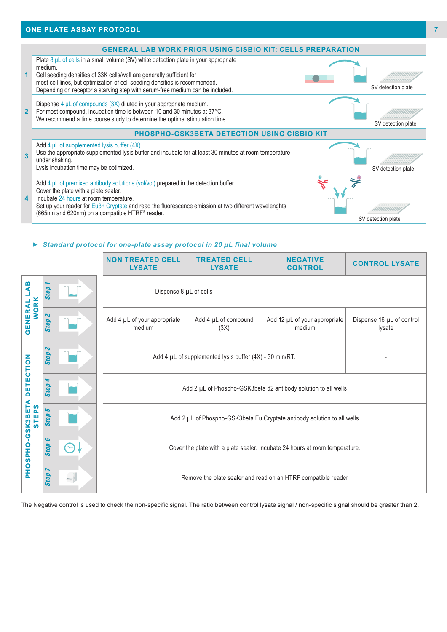#### **ONE PLATE ASSAY PROTOCOL**



#### *► Standard protocol for one-plate assay protocol in 20 µL final volume*

|                           |                                          | <b>NON TREATED CELL</b><br><b>LYSATE</b>                                    | <b>TREATED CELL</b><br><b>LYSATE</b> | <b>NEGATIVE</b><br><b>CONTROL</b>                                                                                                                      | <b>CONTROL LYSATE</b>               |  |
|---------------------------|------------------------------------------|-----------------------------------------------------------------------------|--------------------------------------|--------------------------------------------------------------------------------------------------------------------------------------------------------|-------------------------------------|--|
| മ<br>⋖                    | <b>Step</b>                              | Dispense 8 µL of cells                                                      |                                      |                                                                                                                                                        |                                     |  |
| <b>WORK</b><br>GENERAL    | $\boldsymbol{\mathsf{N}}$<br><b>Step</b> | Add 4 µL of your appropriate<br>medium                                      | Add 4 µL of compound<br>(3X)         | Add 12 µL of your appropriate<br>medium                                                                                                                | Dispense 16 µL of control<br>lysate |  |
|                           | S<br><b>Step</b>                         | Add 4 $\mu$ L of supplemented lysis buffer (4X) - 30 min/RT.                |                                      |                                                                                                                                                        |                                     |  |
| <b>DETECTION</b>          | ↬<br><b>Step</b>                         | Add 2 µL of Phospho-GSK3beta d2 antibody solution to all wells              |                                      |                                                                                                                                                        |                                     |  |
| <b>.GSK3BETA</b><br>STEPS | ما<br><b>Step</b>                        | Add 2 µL of Phospho-GSK3beta Eu Cryptate antibody solution to all wells     |                                      |                                                                                                                                                        |                                     |  |
| <b>OSPHO</b>              | G<br><b>Step</b>                         | Cover the plate with a plate sealer. Incubate 24 hours at room temperature. |                                      |                                                                                                                                                        |                                     |  |
| 홊                         | <b>Step</b>                              | Remove the plate sealer and read on an HTRF compatible reader               |                                      |                                                                                                                                                        |                                     |  |
|                           |                                          |                                                                             |                                      | The Negative control is used to check the non-specific signal. The ratio between control lysate signal / non-specific signal should be greater than 2. |                                     |  |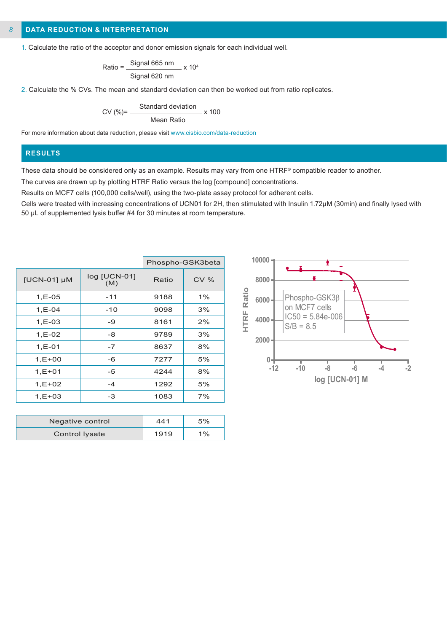#### **DATA REDUCTION & INTERPRETATION** *8*

1. Calculate the ratio of the acceptor and donor emission signals for each individual well.

$$
Ratio = \frac{Signal 665 nm}{Signal 620 nm} \times 10^4
$$

2. Calculate the % CVs. The mean and standard deviation can then be worked out from ratio replicates.

$$
CV (\%) = \frac{Standard deviation}{Mean Ratio} \times 100
$$

For more information about data reduction, please visit www.cisbio.com/data-reduction

#### **RESULTS**

These data should be considered only as an example. Results may vary from one HTRF® compatible reader to another.

The curves are drawn up by plotting HTRF Ratio versus the log [compound] concentrations.

Results on MCF7 cells (100,000 cells/well), using the two-plate assay protocol for adherent cells.

Cells were treated with increasing concentrations of UCN01 for 2H, then stimulated with Insulin 1.72µM (30min) and finally lysed with 50 µL of supplemented lysis buffer #4 for 30 minutes at room temperature.

|             |                     |       | Phospho-GSK3beta |
|-------------|---------------------|-------|------------------|
| [UCN-01] µM | log [UCN-01]<br>(M) | Ratio | <b>CV %</b>      |
| $1, E-05$   | $-11$               | 9188  | 1%               |
| $1, E - 04$ | $-10$               | 9098  | 3%               |
| $1, E-03$   | -9                  | 8161  | 2%               |
| $1, E - 02$ | -8                  | 9789  | 3%               |
| $1, E - 01$ | $-7$                | 8637  | 8%               |
| $1, E + 00$ | -6                  | 7277  | 5%               |
| $1, E + 01$ | -5                  | 4244  | 8%               |
| $1,E+02$    | $-4$                | 1292  | 5%               |
| $1, E + 03$ | -3                  | 1083  | 7%               |
|             |                     |       |                  |

| Negative control | 441  | 5%    |
|------------------|------|-------|
| Control Iysate   | 1919 | $1\%$ |